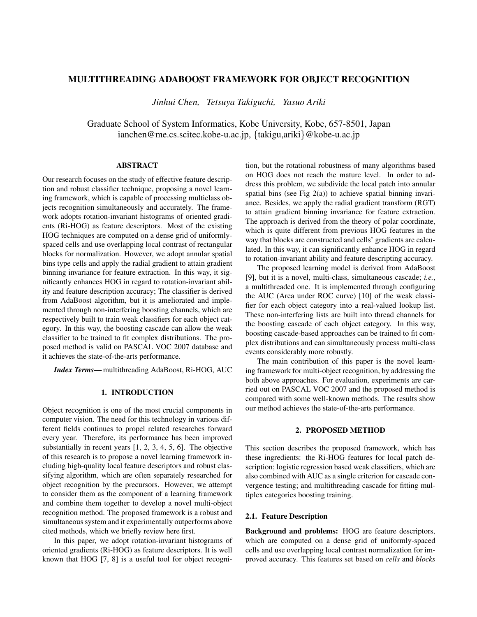# MULTITHREADING ADABOOST FRAMEWORK FOR OBJECT RECOGNITION

*Jinhui Chen, Tetsuya Takiguchi, Yasuo Ariki*

Graduate School of System Informatics, Kobe University, Kobe, 657-8501, Japan ianchen@me.cs.scitec.kobe-u.ac.jp, {takigu,ariki}@kobe-u.ac.jp

## ABSTRACT

Our research focuses on the study of effective feature description and robust classifier technique, proposing a novel learning framework, which is capable of processing multiclass objects recognition simultaneously and accurately. The framework adopts rotation-invariant histograms of oriented gradients (Ri-HOG) as feature descriptors. Most of the existing HOG techniques are computed on a dense grid of uniformlyspaced cells and use overlapping local contrast of rectangular blocks for normalization. However, we adopt annular spatial bins type cells and apply the radial gradient to attain gradient binning invariance for feature extraction. In this way, it significantly enhances HOG in regard to rotation-invariant ability and feature description accuracy; The classifier is derived from AdaBoost algorithm, but it is ameliorated and implemented through non-interfering boosting channels, which are respectively built to train weak classifiers for each object category. In this way, the boosting cascade can allow the weak classifier to be trained to fit complex distributions. The proposed method is valid on PASCAL VOC 2007 database and it achieves the state-of-the-arts performance.

*Index Terms*—multithreading AdaBoost, Ri-HOG, AUC

### 1. INTRODUCTION

Object recognition is one of the most crucial components in computer vision. The need for this technology in various different fields continues to propel related researches forward every year. Therefore, its performance has been improved substantially in recent years [1, 2, 3, 4, 5, 6]. The objective of this research is to propose a novel learning framework including high-quality local feature descriptors and robust classifying algorithm, which are often separately researched for object recognition by the precursors. However, we attempt to consider them as the component of a learning framework and combine them together to develop a novel multi-object recognition method. The proposed framework is a robust and simultaneous system and it experimentally outperforms above cited methods, which we briefly review here first.

In this paper, we adopt rotation-invariant histograms of oriented gradients (Ri-HOG) as feature descriptors. It is well known that HOG [7, 8] is a useful tool for object recognition, but the rotational robustness of many algorithms based on HOG does not reach the mature level. In order to address this problem, we subdivide the local patch into annular spatial bins (see Fig  $2(a)$ ) to achieve spatial binning invariance. Besides, we apply the radial gradient transform (RGT) to attain gradient binning invariance for feature extraction. The approach is derived from the theory of polar coordinate, which is quite different from previous HOG features in the way that blocks are constructed and cells' gradients are calculated. In this way, it can significantly enhance HOG in regard to rotation-invariant ability and feature descripting accuracy.

The proposed learning model is derived from AdaBoost [9], but it is a novel, multi-class, simultaneous cascade; *i.e.*, a multithreaded one. It is implemented through configuring the AUC (Area under ROC curve) [10] of the weak classifier for each object category into a real-valued lookup list. These non-interfering lists are built into thread channels for the boosting cascade of each object category. In this way, boosting cascade-based approaches can be trained to fit complex distributions and can simultaneously process multi-class events considerably more robustly.

The main contribution of this paper is the novel learning framework for multi-object recognition, by addressing the both above approaches. For evaluation, experiments are carried out on PASCAL VOC 2007 and the proposed method is compared with some well-known methods. The results show our method achieves the state-of-the-arts performance.

#### 2. PROPOSED METHOD

This section describes the proposed framework, which has these ingredients: the Ri-HOG features for local patch description; logistic regression based weak classifiers, which are also combined with AUC as a single criterion for cascade convergence testing; and multithreading cascade for fitting multiplex categories boosting training.

## 2.1. Feature Description

Background and problems: HOG are feature descriptors, which are computed on a dense grid of uniformly-spaced cells and use overlapping local contrast normalization for improved accuracy. This features set based on *cells* and *blocks*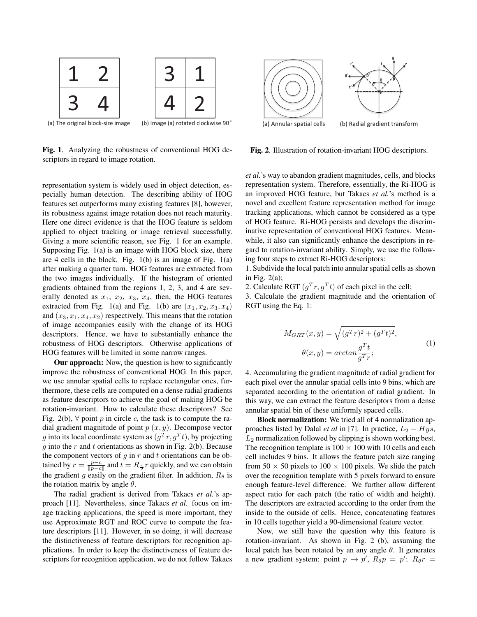

Fig. 1. Analyzing the robustness of conventional HOG descriptors in regard to image rotation.

representation system is widely used in object detection, especially human detection. The describing ability of HOG features set outperforms many existing features [8], however, its robustness against image rotation does not reach maturity. Here one direct evidence is that the HOG feature is seldom applied to object tracking or image retrieval successfully. Giving a more scientific reason, see Fig. 1 for an example. Supposing Fig. 1(a) is an image with HOG block size, there are 4 cells in the block. Fig. 1(b) is an image of Fig. 1(a) after making a quarter turn. HOG features are extracted from the two images individually. If the histogram of oriented gradients obtained from the regions 1, 2, 3, and 4 are severally denoted as  $x_1$ ,  $x_2$ ,  $x_3$ ,  $x_4$ , then, the HOG features extracted from Fig. 1(a) and Fig. 1(b) are  $(x_1, x_2, x_3, x_4)$ and  $(x_3, x_1, x_4, x_2)$  respectively. This means that the rotation of image accompanies easily with the change of its HOG descriptors. Hence, we have to substantially enhance the robustness of HOG descriptors. Otherwise applications of HOG features will be limited in some narrow ranges.

Our approach: Now, the question is how to significantly improve the robustness of conventional HOG. In this paper, we use annular spatial cells to replace rectangular ones, furthermore, these cells are computed on a dense radial gradients as feature descriptors to achieve the goal of making HOG be rotation-invariant. How to calculate these descriptors? See Fig. 2(b),  $\forall$  point p in circle c, the task is to compute the radial gradient magnitude of point  $p(x, y)$ . Decompose vector g into its local coordinate system as  $(g^T r, g^T t)$ , by projecting  $q$  into the  $r$  and  $t$  orientations as shown in Fig. 2(b). Because the component vectors of  $g$  in  $r$  and  $t$  orientations can be obtained by  $r = \frac{p-c}{\|p-c\|}$  and  $t = R_{\frac{\pi}{2}}r$  quickly, and we can obtain the gradient g easily on the gradient filter. In addition,  $R_{\theta}$  is the rotation matrix by angle  $\theta$ .

The radial gradient is derived from Takacs *et al.*'s approach [11]. Nevertheless, since Takacs *et al.* focus on image tracking applications, the speed is more important, they use Approximate RGT and ROC curve to compute the feature descriptors [11]. However, in so doing, it will decrease the distinctiveness of feature descriptors for recognition applications. In order to keep the distinctiveness of feature descriptors for recognition application, we do not follow Takacs



Fig. 2. Illustration of rotation-invariant HOG descriptors.

*et al.*'s way to abandon gradient magnitudes, cells, and blocks representation system. Therefore, essentially, the Ri-HOG is an improved HOG feature, but Takacs *et al.*'s method is a novel and excellent feature representation method for image tracking applications, which cannot be considered as a type of HOG feature. Ri-HOG persists and develops the discriminative representation of conventional HOG features. Meanwhile, it also can significantly enhance the descriptors in regard to rotation-invariant ability. Simply, we use the following four steps to extract Ri-HOG descriptors:

1. Subdivide the local patch into annular spatial cells as shown in Fig.  $2(a)$ ;

2. Calculate RGT  $(g^T r, g^T t)$  of each pixel in the cell;

3. Calculate the gradient magnitude and the orientation of RGT using the Eq. 1:

$$
M_{GRT}(x, y) = \sqrt{(g^T r)^2 + (g^T t)^2},
$$
  
\n
$$
\theta(x, y) = \arctan \frac{g^T t}{g^T r};
$$
\n(1)

4. Accumulating the gradient magnitude of radial gradient for each pixel over the annular spatial cells into 9 bins, which are separated according to the orientation of radial gradient. In this way, we can extract the feature descriptors from a dense annular spatial bin of these uniformly spaced cells.

Block normalization: We tried all of 4 normalization approaches listed by Dalal *et al* in [7]. In practice,  $L_2 - Hys$ ,  $L_2$  normalization followed by clipping is shown working best. The recognition template is  $100 \times 100$  with 10 cells and each cell includes 9 bins. It allows the feature patch size ranging from  $50 \times 50$  pixels to  $100 \times 100$  pixels. We slide the patch over the recognition template with 5 pixels forward to ensure enough feature-level difference. We further allow different aspect ratio for each patch (the ratio of width and height). The descriptors are extracted according to the order from the inside to the outside of cells. Hence, concatenating features in 10 cells together yield a 90-dimensional feature vector.

Now, we still have the question why this feature is rotation-invariant. As shown in Fig. 2 (b), assuming the local patch has been rotated by an any angle  $\theta$ . It generates a new gradient system: point  $p \rightarrow p'$ ,  $R_{\theta}p = p'$ ;  $R_{\theta}r =$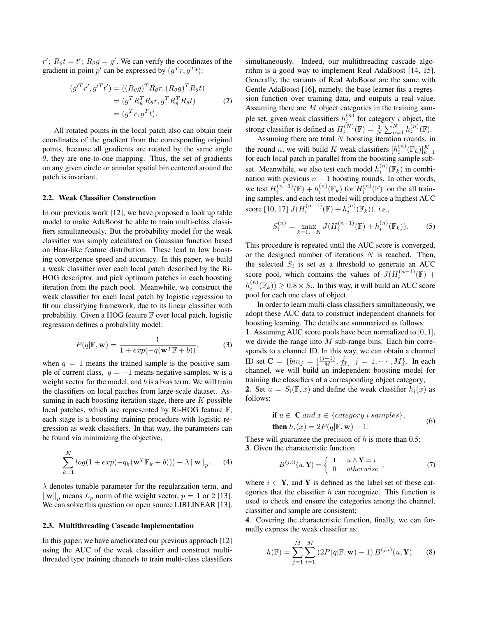$r'$ ;  $R_{\theta}t = t'$ ;  $R_{\theta}g = g'$ . We can verify the coordinates of the gradient in point p' can be expressed by  $(g^T r, g^T t)$ :

$$
(g'^T r', g'^T t') = ((R_{\theta}g)^T R_{\theta}r, (R_{\theta}g)^T R_{\theta}t)
$$
  
= 
$$
(g^T R_{\theta}^T R_{\theta}r, g^T R_{\theta}^T R_{\theta}t)
$$
  
= 
$$
(g^T r, g^T t).
$$
 (2)

All rotated points in the local patch also can obtain their coordinates of the gradient from the corresponding original points, because all gradients are rotated by the same angle  $\theta$ , they are one-to-one mapping. Thus, the set of gradients on any given circle or annular spatial bin centered around the patch is invariant.

### 2.2. Weak Classifier Construction

In our previous work [12], we have proposed a look up table model to make AdaBoost be able to train multi-class classifiers simultaneously. But the probability model for the weak classifier was simply calculated on Gaussian function based on Haar-like feature distribution. These lead to low boosting convergence speed and accuracy. In this paper, we build a weak classifier over each local patch described by the Ri-HOG descriptor, and pick optimum patches in each boosting iteration from the patch pool. Meanwhile, we construct the weak classifier for each local patch by logistic regression to fit our classifying framework, due to its linear classifier with probability. Given a HOG feature F over local patch, logistic regression defines a probability model:

$$
P(q|\mathbb{F}, \mathbf{w}) = \frac{1}{1 + exp(-q(\mathbf{w}^T \mathbb{F} + b))},
$$
 (3)

when  $q = 1$  means the trained sample is the positive sample of current class,  $q = -1$  means negative samples, w is a weight vector for the model, and  $b$  is a bias term. We will train the classifiers on local patches from large-scale dataset. Assuming in each boosting iteration stage, there are  $K$  possible local patches, which are represented by Ri-HOG feature F, each stage is a boosting training procedure with logistic regression as weak classifiers. In that way, the parameters can be found via minimizing the objective,

$$
\sum_{k=1}^{K} \log(1 + \exp(-q_k(\mathbf{w}^T \mathbb{F}_k + b))) + \lambda \|\mathbf{w}\|_p.
$$
 (4)

 $\lambda$  denotes tunable parameter for the regularzation term, and  $\|\mathbf{w}\|_p$  means  $L_p$  norm of the weight vector,  $p = 1$  or 2 [13]. We can solve this question on open source LIBLINEAR [13].

#### 2.3. Multithreading Cascade Implementation

In this paper, we have ameliorated our previous approach [12] using the AUC of the weak classifier and construct multithreaded type training channels to train multi-class classifiers

simultaneously. Indeed, our multithreading cascade algorithm is a good way to implement Real AdaBoost [14, 15]. Generally, the variants of Real AdaBoost are the same with Gentle AdaBoost [16], namely, the base learner fits a regression function over training data, and outputs a real value. Assuming there are M object categories in the training sample set, given weak classifiers  $h_i^{(n)}$  for category i object, the strong classifier is defined as  $H_i^{(N)}(\mathbb{F}) = \frac{1}{N} \sum_{n=1}^{N} h_i^{(n)}(\mathbb{F})$ .

Assuming there are total  $N$  boosting iteration rounds, in the round *n*, we will build *K* weak classifiers  $[h_i^{(n)}(\mathbb{F}_k)]_{k=1}^K$ for each local patch in parallel from the boosting sample subset. Meanwhile, we also test each model  $h_i^{(n)}(\mathbb{F}_k)$  in combination with previous  $n - 1$  boosting rounds. In other words, we test  $H_i^{(n-1)}(\mathbb{F}) + h_i^{(n)}(\mathbb{F}_k)$  for  $H_i^{(n)}(\mathbb{F})$  on the all training samples, and each test model will produce a highest AUC score [10, 17]  $J(H_i^{(n-1)}(\mathbb{F}) + h_i^{(n)}(\mathbb{F}_k))$ . *i.e.*,

$$
S_i^{(n)} = \max_{k=1,\cdots K} J(H_i^{(n-1)}(\mathbb{F}) + h_i^{(n)}(\mathbb{F}_k)).
$$
 (5)

This procedure is repeated until the AUC score is converged, or the designed number of iterations  $N$  is reached. Then, the selected  $S_i$  is set as a threshold to generate an AUC score pool, which contains the values of  $J(H_i^{(n-1)}(\mathbb{F}) +$  $h_i^{(n)}(\mathbb{F}_k)) \geq 0.8 \times S_i$ . In this way, it will build an AUC score pool for each one class of object.

In order to learn multi-class classifiers simultaneously, we adopt these AUC data to construct independent channels for boosting learning. The details are summarized as follows:

1. Assuming AUC score pools have been normalized to [0, 1], we divide the range into  $M$  sub-range bins. Each bin corresponds to a channel ID. In this way, we can obtain a channel ID set **C** = { $bin_j = \{\frac{(j-1)}{M}, \frac{j}{M}\}\$  j = 1, ⋅ ⋅ ⋅ , M}. In each channel, we will build an independent boosting model for training the classifiers of a corresponding object category; 2. Set  $u = S_i(\mathbb{F}, x)$  and define the weak classifier  $h_i(x)$  as

$$
\textbf{if } u \in \mathbf{C} \text{ and } x \in \{category \text{ } i \text{ samples} \}, \tag{6}
$$

$$
then h_i(x) = 2P(q|\mathbb{F}, \mathbf{w}) - 1.
$$

These will guarantee the precision of  $h$  is more than 0.5; 3. Given the characteristic function

follows:

$$
B^{(j,i)}(u, \mathbf{Y}) = \begin{cases} 1 & u \wedge \mathbf{Y} = i \\ 0 & otherwise \end{cases}, \tag{7}
$$

where  $i \in Y$ , and Y is defined as the label set of those categories that the classifier  $h$  can recognize. This function is used to check and ensure the categories among the channel, classifier and sample are consistent;

4. Covering the characteristic function, finally, we can formally express the weak classifier as:

$$
h(\mathbb{F}) = \sum_{j=1}^{M} \sum_{i=1}^{M} (2P(q|\mathbb{F}, \mathbf{w}) - 1) B^{(j,i)}(u, \mathbf{Y}).
$$
 (8)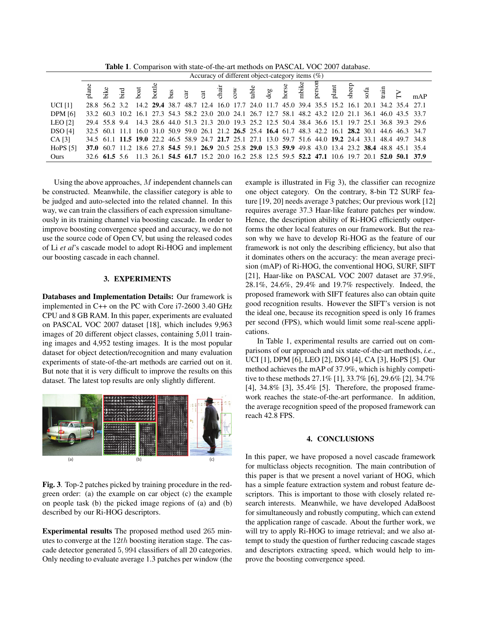Table 1. Comparison with state-of-the-art methods on PASCAL VOC 2007 database.

|                | Accuracy of different object-category items $(\%)$ |  |  |  |  |  |  |  |  |  |  |  |  |  |                                                                                                          |  |      |  |                                                                                                         |
|----------------|----------------------------------------------------|--|--|--|--|--|--|--|--|--|--|--|--|--|----------------------------------------------------------------------------------------------------------|--|------|--|---------------------------------------------------------------------------------------------------------|
|                |                                                    |  |  |  |  |  |  |  |  |  |  |  |  |  | plane<br>bike<br>boat dog car<br>cow dog borse<br>horse plant plant                                      |  | rain |  |                                                                                                         |
| <b>UCI</b> [1] |                                                    |  |  |  |  |  |  |  |  |  |  |  |  |  | 28.8 56.2 3.2 14.2 29.4 38.7 48.7 12.4 16.0 17.7 24.0 11.7 45.0 39.4 35.5 15.2 16.1 20.1 34.2 35.4 27.1  |  |      |  |                                                                                                         |
| <b>DPM</b> [6] |                                                    |  |  |  |  |  |  |  |  |  |  |  |  |  | 33.2 60.3 10.2 16.1 27.3 54.3 58.2 23.0 20.0 24.1 26.7 12.7 58.1 48.2 43.2 12.0 21.1 36.1 46.0 43.5 33.7 |  |      |  |                                                                                                         |
| LEO[2]         |                                                    |  |  |  |  |  |  |  |  |  |  |  |  |  |                                                                                                          |  |      |  | 29.4 55.8 9.4 14.3 28.6 44.0 51.3 21.3 20.0 19.3 25.2 12.5 50.4 38.4 36.6 15.1 19.7 25.1 36.8 39.3 29.6 |
| <b>DSO</b> [4] |                                                    |  |  |  |  |  |  |  |  |  |  |  |  |  | 32.5 60.1 11.1 16.0 31.0 50.9 59.0 26.1 21.2 26.5 25.4 16.4 61.7 48.3 42.2 16.1 28.2 30.1 44.6 46.3 34.7 |  |      |  |                                                                                                         |
| CA[3]          |                                                    |  |  |  |  |  |  |  |  |  |  |  |  |  | 34.5 61.1 11.5 19.0 22.2 46.5 58.9 24.7 21.7 25.1 27.1 13.0 59.7 51.6 44.0 19.2 24.4 33.1 48.4 49.7 34.8 |  |      |  |                                                                                                         |
| HoPS [5]       |                                                    |  |  |  |  |  |  |  |  |  |  |  |  |  | 37.0 60.7 11.2 18.6 27.8 54.5 59.1 26.9 20.5 25.8 29.0 15.3 59.9 49.8 43.0 13.4 23.2 38.4 48.8 45.1 35.4 |  |      |  |                                                                                                         |
| Ours           |                                                    |  |  |  |  |  |  |  |  |  |  |  |  |  | 32.6 61.5 5.6 11.3 26.1 54.5 61.7 15.2 20.0 16.2 25.8 12.5 59.5 52.2 47.1 10.6 19.7 20.1 52.0 50.1 37.9  |  |      |  |                                                                                                         |

Using the above approaches, M independent channels can be constructed. Meanwhile, the classifier category is able to be judged and auto-selected into the related channel. In this way, we can train the classifiers of each expression simultaneously in its training channel via boosting cascade. In order to improve boosting convergence speed and accuracy, we do not use the source code of Open CV, but using the released codes of Li *et al*'s cascade model to adopt Ri-HOG and implement our boosting cascade in each channel.

### 3. EXPERIMENTS

Databases and Implementation Details: Our framework is implemented in C++ on the PC with Core i7-2600 3.40 GHz CPU and 8 GB RAM. In this paper, experiments are evaluated on PASCAL VOC 2007 dataset [18], which includes 9,963 images of 20 different object classes, containing 5,011 training images and 4,952 testing images. It is the most popular dataset for object detection/recognition and many evaluation experiments of state-of-the-art methods are carried out on it. But note that it is very difficult to improve the results on this dataset. The latest top results are only slightly different.



Fig. 3. Top-2 patches picked by training procedure in the redgreen order: (a) the example on car object (c) the example on people task (b) the picked image regions of (a) and (b) described by our Ri-HOG descriptors.

Experimental results The proposed method used 265 minutes to converge at the  $12th$  boosting iteration stage. The cascade detector generated 5, 994 classifiers of all 20 categories. Only needing to evaluate average 1.3 patches per window (the example is illustrated in Fig 3), the classifier can recognize one object category. On the contrary, 8-bin T2 SURF feature [19, 20] needs average 3 patches; Our previous work [12] requires average 37.3 Haar-like feature patches per window. Hence, the description ability of Ri-HOG efficiently outperforms the other local features on our framework. But the reason why we have to develop Ri-HOG as the feature of our framework is not only the describing efficiency, but also that it dominates others on the accuracy: the mean average precision (mAP) of Ri-HOG, the conventional HOG, SURF, SIFT [21], Haar-like on PASCAL VOC 2007 dataset are 37.9%, 28.1%, 24.6%, 29.4% and 19.7% respectively. Indeed, the proposed framework with SIFT features also can obtain quite good recognition results. However the SIFT's version is not the ideal one, because its recognition speed is only 16 frames per second (FPS), which would limit some real-scene applications.

In Table 1, experimental results are carried out on comparisons of our approach and six state-of-the-art methods, *i.e.*, UCI [1], DPM [6], LEO [2], DSO [4], CA [3], HoPS [5]. Our method achieves the mAP of 37.9%, which is highly competitive to these methods 27.1% [1], 33.7% [6], 29.6% [2], 34.7% [4], 34.8% [3], 35.4% [5]. Therefore, the proposed framework reaches the state-of-the-art performance. In addition, the average recognition speed of the proposed framework can reach 42.8 FPS.

#### 4. CONCLUSIONS

In this paper, we have proposed a novel cascade framework for multiclass objects recognition. The main contribution of this paper is that we present a novel variant of HOG, which has a simple feature extraction system and robust feature descriptors. This is important to those with closely related research interests. Meanwhile, we have developed AdaBoost for simultaneously and robustly computing, which can extend the application range of cascade. About the further work, we will try to apply Ri-HOG to image retrieval; and we also attempt to study the question of further reducing cascade stages and descriptors extracting speed, which would help to improve the boosting convergence speed.